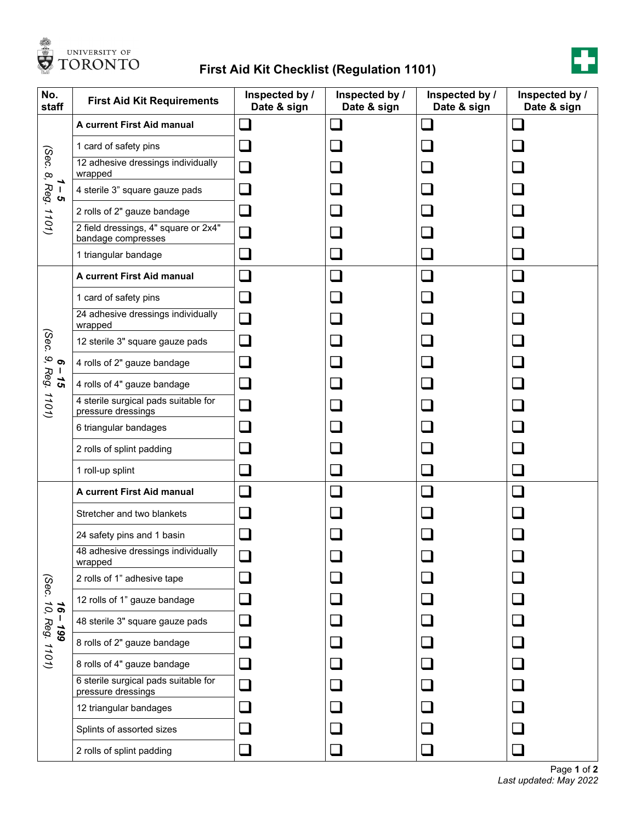

## **First Aid Kit Checklist (Regulation 1101)**



| No.<br>staff                                                                            | <b>First Aid Kit Requirements</b>                          | Inspected by /<br>Date & sign | Inspected by /<br>Date & sign | Inspected by /<br>Date & sign | Inspected by /<br>Date & sign |
|-----------------------------------------------------------------------------------------|------------------------------------------------------------|-------------------------------|-------------------------------|-------------------------------|-------------------------------|
| (Sec.<br>$\infty$<br>→<br>Reg.<br>$\mathbf I$<br><b>ຕ</b><br>1101)                      | A current First Aid manual                                 |                               |                               |                               |                               |
|                                                                                         | 1 card of safety pins                                      |                               |                               |                               |                               |
|                                                                                         | 12 adhesive dressings individually<br>wrapped              |                               |                               |                               |                               |
|                                                                                         | 4 sterile 3" square gauze pads                             |                               |                               |                               |                               |
|                                                                                         | 2 rolls of 2" gauze bandage                                |                               |                               |                               |                               |
|                                                                                         | 2 field dressings, 4" square or 2x4"<br>bandage compresses |                               |                               |                               |                               |
|                                                                                         | 1 triangular bandage                                       |                               |                               |                               |                               |
| (Sec.<br>$\mathbf{Q}$<br>$\sigma$<br>Reg.<br>$\mathbf{I}$<br>$\boldsymbol{15}$<br>1101) | A current First Aid manual                                 |                               |                               |                               | $\sim$                        |
|                                                                                         | 1 card of safety pins                                      |                               |                               |                               |                               |
|                                                                                         | 24 adhesive dressings individually<br>wrapped              |                               |                               |                               |                               |
|                                                                                         | 12 sterile 3" square gauze pads                            |                               |                               |                               |                               |
|                                                                                         | 4 rolls of 2" gauze bandage                                |                               |                               |                               |                               |
|                                                                                         | 4 rolls of 4" gauze bandage                                |                               |                               |                               |                               |
|                                                                                         | 4 sterile surgical pads suitable for<br>pressure dressings |                               |                               |                               |                               |
|                                                                                         | 6 triangular bandages                                      |                               |                               |                               |                               |
|                                                                                         | 2 rolls of splint padding                                  |                               |                               |                               |                               |
|                                                                                         | 1 roll-up splint                                           |                               |                               |                               |                               |
| (Sec.<br>10,<br>$\overline{\mathbf{e}}$<br>$661 -$<br>Reg. 1101)                        | A current First Aid manual                                 |                               |                               |                               |                               |
|                                                                                         | Stretcher and two blankets                                 |                               |                               |                               |                               |
|                                                                                         | 24 safety pins and 1 basin                                 |                               |                               |                               |                               |
|                                                                                         | 48 adhesive dressings individually<br>wrapped              |                               |                               |                               |                               |
|                                                                                         | 2 rolls of 1" adhesive tape                                |                               |                               |                               |                               |
|                                                                                         | 12 rolls of 1" gauze bandage                               |                               |                               |                               |                               |
|                                                                                         | 48 sterile 3" square gauze pads                            |                               |                               |                               |                               |
|                                                                                         | 8 rolls of 2" gauze bandage                                |                               |                               |                               |                               |
|                                                                                         | 8 rolls of 4" gauze bandage                                |                               |                               |                               |                               |
|                                                                                         | 6 sterile surgical pads suitable for<br>pressure dressings |                               |                               |                               |                               |
|                                                                                         | 12 triangular bandages                                     |                               |                               |                               |                               |
|                                                                                         | Splints of assorted sizes                                  |                               |                               |                               |                               |
|                                                                                         | 2 rolls of splint padding                                  |                               |                               |                               |                               |